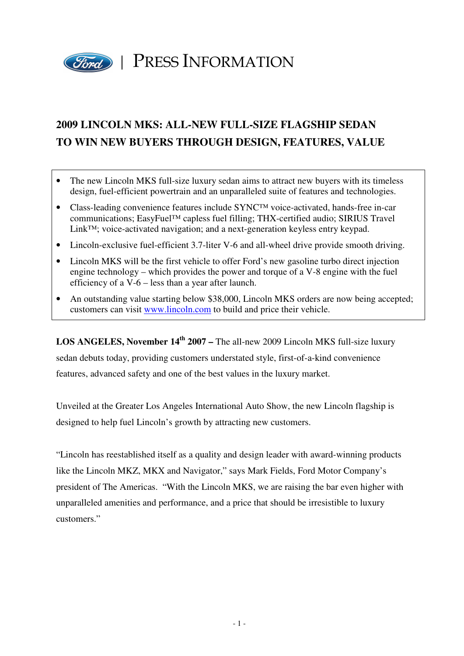

### **2009 LINCOLN MKS: ALL-NEW FULL-SIZE FLAGSHIP SEDAN TO WIN NEW BUYERS THROUGH DESIGN, FEATURES, VALUE**

- The new Lincoln MKS full-size luxury sedan aims to attract new buyers with its timeless design, fuel-efficient powertrain and an unparalleled suite of features and technologies.
- Class-leading convenience features include SYNC™ voice-activated, hands-free in-car communications; EasyFuel™ capless fuel filling; THX-certified audio; SIRIUS Travel Link™; voice-activated navigation; and a next-generation keyless entry keypad.
- Lincoln-exclusive fuel-efficient 3.7-liter V-6 and all-wheel drive provide smooth driving.
- Lincoln MKS will be the first vehicle to offer Ford's new gasoline turbo direct injection engine technology – which provides the power and torque of a V-8 engine with the fuel efficiency of a V-6 – less than a year after launch.
- An outstanding value starting below \$38,000, Lincoln MKS orders are now being accepted; customers can visit www.lincoln.com to build and price their vehicle.

**LOS ANGELES, November 14th 2007 –** The all-new 2009 Lincoln MKS full-size luxury sedan debuts today, providing customers understated style, first-of-a-kind convenience features, advanced safety and one of the best values in the luxury market.

Unveiled at the Greater Los Angeles International Auto Show, the new Lincoln flagship is designed to help fuel Lincoln's growth by attracting new customers.

"Lincoln has reestablished itself as a quality and design leader with award-winning products like the Lincoln MKZ, MKX and Navigator," says Mark Fields, Ford Motor Company's president of The Americas. "With the Lincoln MKS, we are raising the bar even higher with unparalleled amenities and performance, and a price that should be irresistible to luxury customers."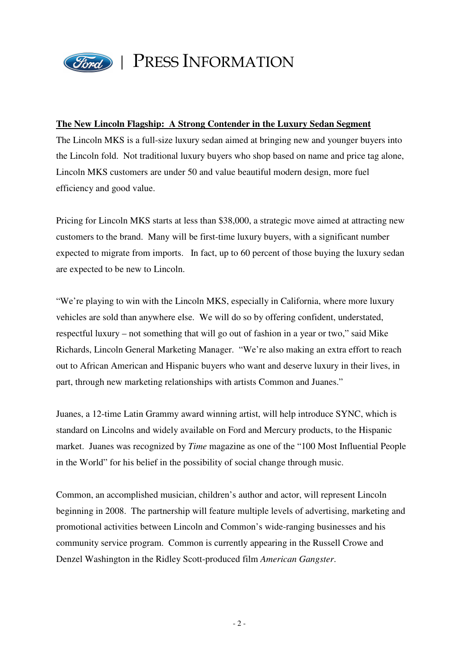

#### **The New Lincoln Flagship: A Strong Contender in the Luxury Sedan Segment**

The Lincoln MKS is a full-size luxury sedan aimed at bringing new and younger buyers into the Lincoln fold. Not traditional luxury buyers who shop based on name and price tag alone, Lincoln MKS customers are under 50 and value beautiful modern design, more fuel efficiency and good value.

Pricing for Lincoln MKS starts at less than \$38,000, a strategic move aimed at attracting new customers to the brand. Many will be first-time luxury buyers, with a significant number expected to migrate from imports. In fact, up to 60 percent of those buying the luxury sedan are expected to be new to Lincoln.

"We're playing to win with the Lincoln MKS, especially in California, where more luxury vehicles are sold than anywhere else. We will do so by offering confident, understated, respectful luxury – not something that will go out of fashion in a year or two," said Mike Richards, Lincoln General Marketing Manager. "We're also making an extra effort to reach out to African American and Hispanic buyers who want and deserve luxury in their lives, in part, through new marketing relationships with artists Common and Juanes."

Juanes, a 12-time Latin Grammy award winning artist, will help introduce SYNC, which is standard on Lincolns and widely available on Ford and Mercury products, to the Hispanic market. Juanes was recognized by *Time* magazine as one of the "100 Most Influential People in the World" for his belief in the possibility of social change through music.

Common, an accomplished musician, children's author and actor, will represent Lincoln beginning in 2008. The partnership will feature multiple levels of advertising, marketing and promotional activities between Lincoln and Common's wide-ranging businesses and his community service program. Common is currently appearing in the Russell Crowe and Denzel Washington in the Ridley Scott-produced film *American Gangster*.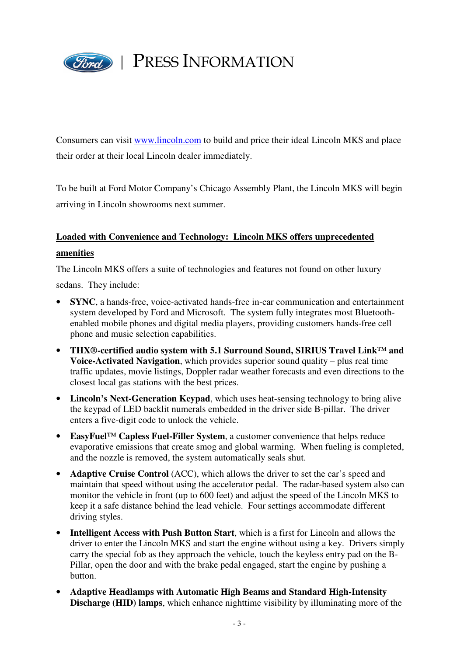

Consumers can visit www.lincoln.com to build and price their ideal Lincoln MKS and place their order at their local Lincoln dealer immediately.

To be built at Ford Motor Company's Chicago Assembly Plant, the Lincoln MKS will begin arriving in Lincoln showrooms next summer.

### **Loaded with Convenience and Technology: Lincoln MKS offers unprecedented amenities**

The Lincoln MKS offers a suite of technologies and features not found on other luxury

sedans. They include:

- **SYNC**, a hands-free, voice-activated hands-free in-car communication and entertainment system developed by Ford and Microsoft. The system fully integrates most Bluetoothenabled mobile phones and digital media players, providing customers hands-free cell phone and music selection capabilities.
- **THX®-certified audio system with 5.1 Surround Sound, SIRIUS Travel Link™ and Voice-Activated Navigation**, which provides superior sound quality – plus real time traffic updates, movie listings, Doppler radar weather forecasts and even directions to the closest local gas stations with the best prices.
- **Lincoln's Next-Generation Keypad**, which uses heat-sensing technology to bring alive the keypad of LED backlit numerals embedded in the driver side B-pillar. The driver enters a five-digit code to unlock the vehicle.
- **EasyFuel™ Capless Fuel-Filler System**, a customer convenience that helps reduce evaporative emissions that create smog and global warming. When fueling is completed, and the nozzle is removed, the system automatically seals shut.
- **Adaptive Cruise Control** (ACC), which allows the driver to set the car's speed and maintain that speed without using the accelerator pedal. The radar-based system also can monitor the vehicle in front (up to 600 feet) and adjust the speed of the Lincoln MKS to keep it a safe distance behind the lead vehicle. Four settings accommodate different driving styles.
- **Intelligent Access with Push Button Start**, which is a first for Lincoln and allows the driver to enter the Lincoln MKS and start the engine without using a key. Drivers simply carry the special fob as they approach the vehicle, touch the keyless entry pad on the B-Pillar, open the door and with the brake pedal engaged, start the engine by pushing a button.
- **Adaptive Headlamps with Automatic High Beams and Standard High-Intensity Discharge (HID) lamps**, which enhance nighttime visibility by illuminating more of the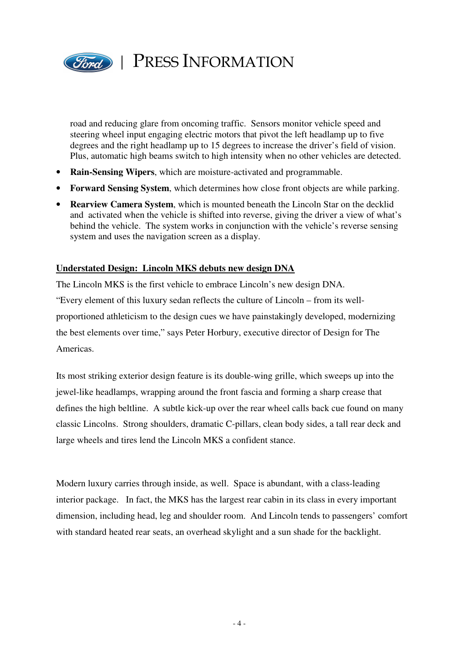

road and reducing glare from oncoming traffic. Sensors monitor vehicle speed and steering wheel input engaging electric motors that pivot the left headlamp up to five degrees and the right headlamp up to 15 degrees to increase the driver's field of vision. Plus, automatic high beams switch to high intensity when no other vehicles are detected.

- **Rain-Sensing Wipers**, which are moisture-activated and programmable.
- **Forward Sensing System**, which determines how close front objects are while parking.
- **Rearview Camera System**, which is mounted beneath the Lincoln Star on the decklid and activated when the vehicle is shifted into reverse, giving the driver a view of what's behind the vehicle. The system works in conjunction with the vehicle's reverse sensing system and uses the navigation screen as a display.

#### **Understated Design: Lincoln MKS debuts new design DNA**

The Lincoln MKS is the first vehicle to embrace Lincoln's new design DNA. "Every element of this luxury sedan reflects the culture of Lincoln – from its wellproportioned athleticism to the design cues we have painstakingly developed, modernizing the best elements over time," says Peter Horbury, executive director of Design for The Americas.

Its most striking exterior design feature is its double-wing grille, which sweeps up into the jewel-like headlamps, wrapping around the front fascia and forming a sharp crease that defines the high beltline. A subtle kick-up over the rear wheel calls back cue found on many classic Lincolns. Strong shoulders, dramatic C-pillars, clean body sides, a tall rear deck and large wheels and tires lend the Lincoln MKS a confident stance.

Modern luxury carries through inside, as well. Space is abundant, with a class-leading interior package. In fact, the MKS has the largest rear cabin in its class in every important dimension, including head, leg and shoulder room. And Lincoln tends to passengers' comfort with standard heated rear seats, an overhead skylight and a sun shade for the backlight.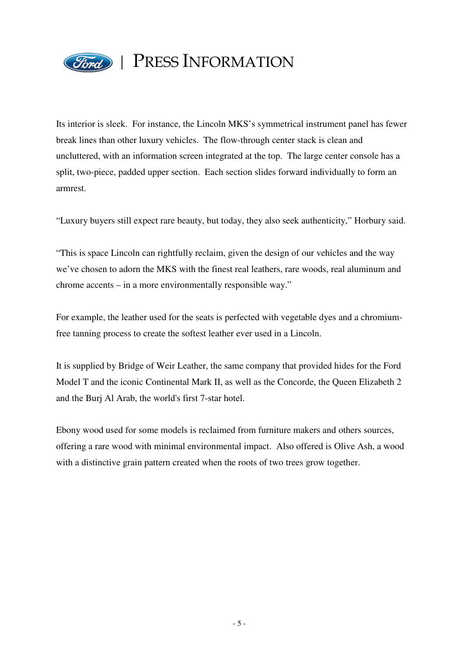

Its interior is sleek. For instance, the Lincoln MKS's symmetrical instrument panel has fewer break lines than other luxury vehicles. The flow-through center stack is clean and uncluttered, with an information screen integrated at the top. The large center console has a split, two-piece, padded upper section. Each section slides forward individually to form an armrest.

"Luxury buyers still expect rare beauty, but today, they also seek authenticity," Horbury said.

"This is space Lincoln can rightfully reclaim, given the design of our vehicles and the way we've chosen to adorn the MKS with the finest real leathers, rare woods, real aluminum and chrome accents – in a more environmentally responsible way."

For example, the leather used for the seats is perfected with vegetable dyes and a chromiumfree tanning process to create the softest leather ever used in a Lincoln.

It is supplied by Bridge of Weir Leather, the same company that provided hides for the Ford Model T and the iconic Continental Mark II, as well as the Concorde, the Queen Elizabeth 2 and the Burj Al Arab, the world's first 7-star hotel.

Ebony wood used for some models is reclaimed from furniture makers and others sources, offering a rare wood with minimal environmental impact. Also offered is Olive Ash, a wood with a distinctive grain pattern created when the roots of two trees grow together.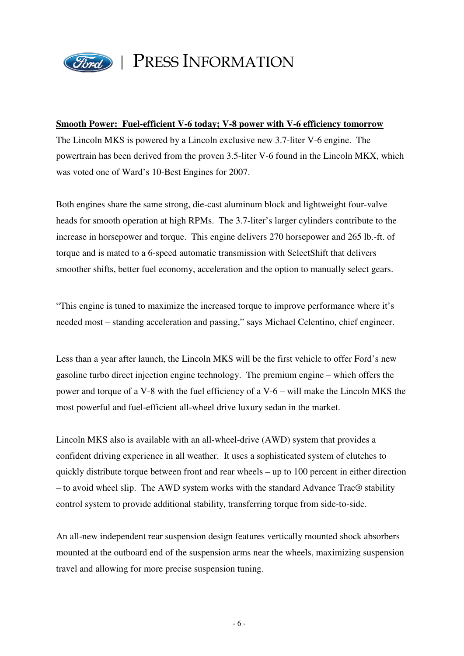

#### **Smooth Power: Fuel-efficient V-6 today; V-8 power with V-6 efficiency tomorrow**

The Lincoln MKS is powered by a Lincoln exclusive new 3.7-liter V-6 engine. The powertrain has been derived from the proven 3.5-liter V-6 found in the Lincoln MKX, which was voted one of Ward's 10-Best Engines for 2007.

Both engines share the same strong, die-cast aluminum block and lightweight four-valve heads for smooth operation at high RPMs. The 3.7-liter's larger cylinders contribute to the increase in horsepower and torque. This engine delivers 270 horsepower and 265 lb.-ft. of torque and is mated to a 6-speed automatic transmission with SelectShift that delivers smoother shifts, better fuel economy, acceleration and the option to manually select gears.

"This engine is tuned to maximize the increased torque to improve performance where it's needed most – standing acceleration and passing," says Michael Celentino, chief engineer.

Less than a year after launch, the Lincoln MKS will be the first vehicle to offer Ford's new gasoline turbo direct injection engine technology. The premium engine – which offers the power and torque of a V-8 with the fuel efficiency of a V-6 – will make the Lincoln MKS the most powerful and fuel-efficient all-wheel drive luxury sedan in the market.

Lincoln MKS also is available with an all-wheel-drive (AWD) system that provides a confident driving experience in all weather. It uses a sophisticated system of clutches to quickly distribute torque between front and rear wheels – up to 100 percent in either direction – to avoid wheel slip. The AWD system works with the standard Advance Trac® stability control system to provide additional stability, transferring torque from side-to-side.

An all-new independent rear suspension design features vertically mounted shock absorbers mounted at the outboard end of the suspension arms near the wheels, maximizing suspension travel and allowing for more precise suspension tuning.